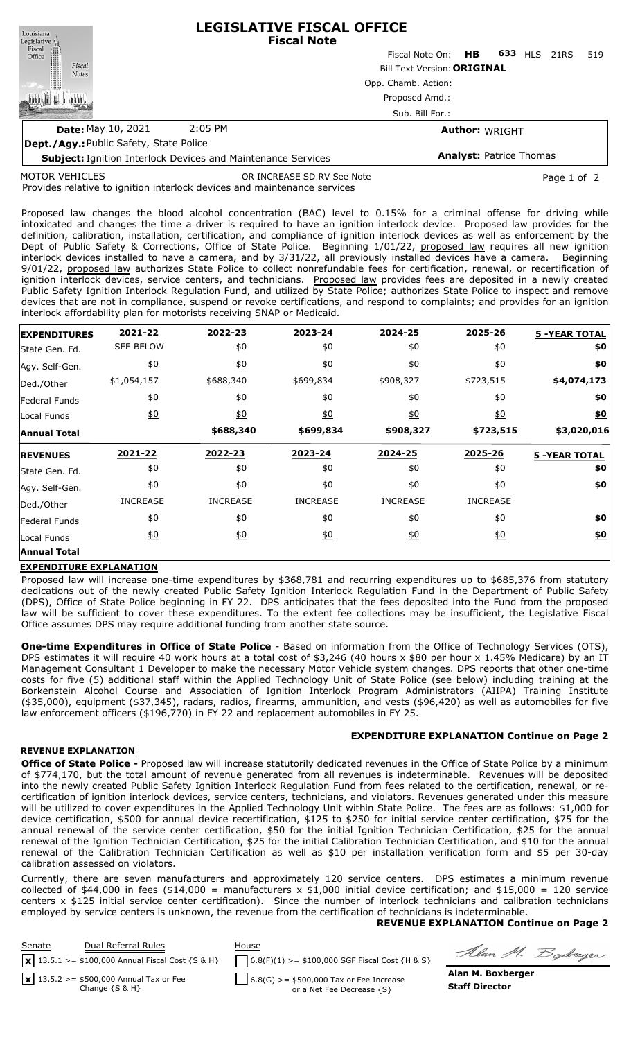| Louisiana<br>Legislative <sup>1</sup>  | <b>LEGISLATIVE FISCAL OFFICE</b><br><b>Fiscal Note</b>              |                                    |                       |                                |      |     |
|----------------------------------------|---------------------------------------------------------------------|------------------------------------|-----------------------|--------------------------------|------|-----|
| Fiscal<br>Office                       |                                                                     | Fiscal Note On: <b>HB</b>          |                       | 633<br><b>HLS</b>              | 21RS | 519 |
| Fiscal<br><b>Notes</b>                 |                                                                     | <b>Bill Text Version: ORIGINAL</b> |                       |                                |      |     |
|                                        |                                                                     | Opp. Chamb. Action:                |                       |                                |      |     |
|                                        |                                                                     | Proposed Amd.:                     |                       |                                |      |     |
|                                        |                                                                     | Sub. Bill For.:                    |                       |                                |      |     |
| <b>Date: May 10, 2021</b>              | $2:05$ PM                                                           |                                    | <b>Author: WRIGHT</b> |                                |      |     |
| Dept./Agy: Public Safety, State Police |                                                                     |                                    |                       |                                |      |     |
|                                        | <b>Subject: Ignition Interlock Devices and Maintenance Services</b> |                                    |                       | <b>Analyst: Patrice Thomas</b> |      |     |

MOTOR VEHICLES

OR INCREASE SD RV See Note **Page 1 of 2** and 2

Provides relative to ignition interlock devices and maintenance services

Proposed law changes the blood alcohol concentration (BAC) level to 0.15% for a criminal offense for driving while intoxicated and changes the time a driver is required to have an ignition interlock device. Proposed law provides for the definition, calibration, installation, certification, and compliance of ignition interlock devices as well as enforcement by the Dept of Public Safety & Corrections, Office of State Police. Beginning 1/01/22, proposed law requires all new ignition interlock devices installed to have a camera, and by 3/31/22, all previously installed devices have a camera. Beginning 9/01/22, proposed law authorizes State Police to collect nonrefundable fees for certification, renewal, or recertification of ignition interlock devices, service centers, and technicians. Proposed law provides fees are deposited in a newly created Public Safety Ignition Interlock Regulation Fund, and utilized by State Police; authorizes State Police to inspect and remove devices that are not in compliance, suspend or revoke certifications, and respond to complaints; and provides for an ignition interlock affordability plan for motorists receiving SNAP or Medicaid.

| <b>EXPENDITURES</b> | 2021-22          | 2022-23         | 2023-24          | 2024-25          | 2025-26           | <b>5 -YEAR TOTAL</b> |
|---------------------|------------------|-----------------|------------------|------------------|-------------------|----------------------|
| State Gen. Fd.      | <b>SEE BELOW</b> | \$0             | \$0              | \$0              | \$0               | \$0                  |
| Agy. Self-Gen.      | \$0              | \$0             | \$0              | \$0              | \$0               | \$0                  |
| Ded./Other          | \$1,054,157      | \$688,340       | \$699,834        | \$908,327        | \$723,515         | \$4,074,173          |
| Federal Funds       | \$0              | \$0             | \$0              | \$0              | \$0               | \$0                  |
| Local Funds         | $\underline{50}$ | $\frac{10}{20}$ | $\underline{50}$ | $\underline{40}$ | $\underline{\$0}$ | $\underline{\$0}$    |
| <b>Annual Total</b> |                  | \$688,340       | \$699,834        | \$908,327        | \$723,515         | \$3,020,016          |
| <b>REVENUES</b>     | 2021-22          | 2022-23         | 2023-24          | 2024-25          | 2025-26           | <b>5 -YEAR TOTAL</b> |
| State Gen. Fd.      | \$0              | \$0             | \$0              | \$0              | \$0               | \$0                  |
| Agy. Self-Gen.      | \$0              | \$0             | \$0              | \$0              | \$0               | \$0                  |
| Ded./Other          | <b>INCREASE</b>  | <b>INCREASE</b> | <b>INCREASE</b>  | <b>INCREASE</b>  | <b>INCREASE</b>   |                      |
|                     |                  |                 |                  |                  |                   |                      |
| Federal Funds       | \$0              | \$0             | \$0              | \$0              | \$0               | \$0                  |
| Local Funds         | $\underline{40}$ | 60              | \$0              | $\underline{50}$ | $\underline{40}$  | \$0                  |

### **EXPENDITURE EXPLANATION**

Proposed law will increase one-time expenditures by \$368,781 and recurring expenditures up to \$685,376 from statutory dedications out of the newly created Public Safety Ignition Interlock Regulation Fund in the Department of Public Safety (DPS), Office of State Police beginning in FY 22. DPS anticipates that the fees deposited into the Fund from the proposed law will be sufficient to cover these expenditures. To the extent fee collections may be insufficient, the Legislative Fiscal Office assumes DPS may require additional funding from another state source.

**One-time Expenditures in Office of State Police** - Based on information from the Office of Technology Services (OTS), DPS estimates it will require 40 work hours at a total cost of \$3,246 (40 hours x \$80 per hour x 1.45% Medicare) by an IT Management Consultant 1 Developer to make the necessary Motor Vehicle system changes. DPS reports that other one-time costs for five (5) additional staff within the Applied Technology Unit of State Police (see below) including training at the Borkenstein Alcohol Course and Association of Ignition Interlock Program Administrators (AIIPA) Training Institute (\$35,000), equipment (\$37,345), radars, radios, firearms, ammunition, and vests (\$96,420) as well as automobiles for five law enforcement officers (\$196,770) in FY 22 and replacement automobiles in FY 25.

## **EXPENDITURE EXPLANATION Continue on Page 2**

### **REVENUE EXPLANATION**

**Office of State Police -** Proposed law will increase statutorily dedicated revenues in the Office of State Police by a minimum of \$774,170, but the total amount of revenue generated from all revenues is indeterminable. Revenues will be deposited into the newly created Public Safety Ignition Interlock Regulation Fund from fees related to the certification, renewal, or recertification of ignition interlock devices, service centers, technicians, and violators. Revenues generated under this measure will be utilized to cover expenditures in the Applied Technology Unit within State Police. The fees are as follows: \$1,000 for device certification, \$500 for annual device recertification, \$125 to \$250 for initial service center certification, \$75 for the annual renewal of the service center certification, \$50 for the initial Ignition Technician Certification, \$25 for the annual renewal of the Ignition Technician Certification, \$25 for the initial Calibration Technician Certification, and \$10 for the annual renewal of the Calibration Technician Certification as well as \$10 per installation verification form and \$5 per 30-day calibration assessed on violators.

Currently, there are seven manufacturers and approximately 120 service centers. DPS estimates a minimum revenue collected of \$44,000 in fees (\$14,000 = manufacturers x \$1,000 initial device certification; and \$15,000 = 120 service centers x \$125 initial service center certification). Since the number of interlock technicians and calibration technicians employed by service centers is unknown, the revenue from the certification of technicians is indeterminable.

### **REVENUE EXPLANATION Continue on Page 2**